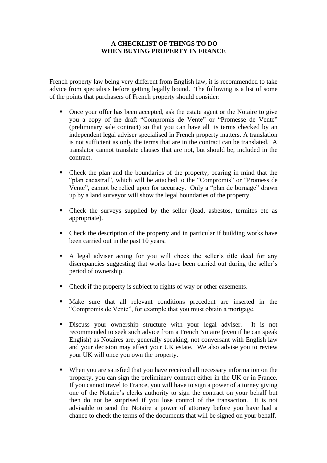## **A CHECKLIST OF THINGS TO DO WHEN BUYING PROPERTY IN FRANCE**

French property law being very different from English law, it is recommended to take advice from specialists before getting legally bound. The following is a list of some of the points that purchasers of French property should consider:

- Once your offer has been accepted, ask the estate agent or the Notaire to give you a copy of the draft "Compromis de Vente" or "Promesse de Vente" (preliminary sale contract) so that you can have all its terms checked by an independent legal adviser specialised in French property matters. A translation is not sufficient as only the terms that are in the contract can be translated. A translator cannot translate clauses that are not, but should be, included in the contract.
- Check the plan and the boundaries of the property, bearing in mind that the "plan cadastral", which will be attached to the "Compromis" or "Promess de Vente", cannot be relied upon for accuracy. Only a "plan de bornage" drawn up by a land surveyor will show the legal boundaries of the property.
- Check the surveys supplied by the seller (lead, asbestos, termites etc as appropriate).
- Check the description of the property and in particular if building works have been carried out in the past 10 years.
- A legal adviser acting for you will check the seller's title deed for any discrepancies suggesting that works have been carried out during the seller's period of ownership.
- Check if the property is subject to rights of way or other easements.
- Make sure that all relevant conditions precedent are inserted in the "Compromis de Vente", for example that you must obtain a mortgage.
- **EXECUTE:** Discuss your ownership structure with your legal adviser. It is not recommended to seek such advice from a French Notaire (even if he can speak English) as Notaires are, generally speaking, not conversant with English law and your decision may affect your UK estate. We also advise you to review your UK will once you own the property.
- When you are satisfied that you have received all necessary information on the property, you can sign the preliminary contract either in the UK or in France. If you cannot travel to France, you will have to sign a power of attorney giving one of the Notaire's clerks authority to sign the contract on your behalf but then do not be surprised if you lose control of the transaction. It is not advisable to send the Notaire a power of attorney before you have had a chance to check the terms of the documents that will be signed on your behalf.